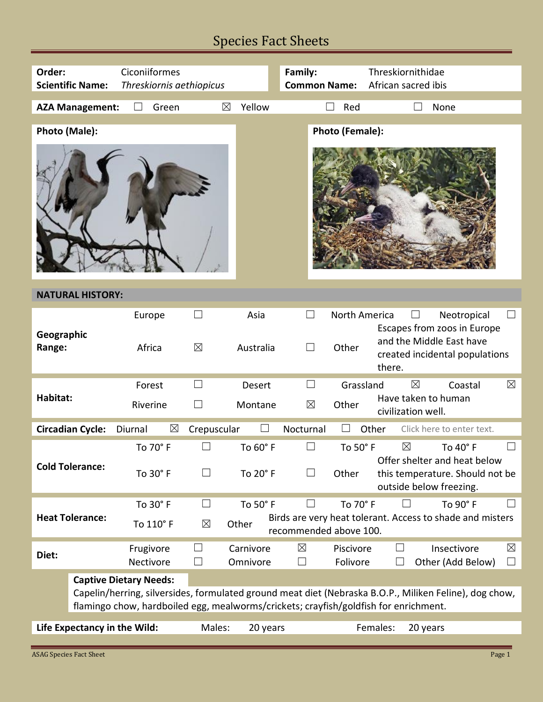## Species Fact Sheets

| Order:<br><b>Scientific Name:</b>                                                                                                                                                                                               | Ciconiiformes<br>Threskiornis aethiopicus |                       |                          | Family:<br><b>Common Name:</b>   |                               | Threskiornithidae<br>African sacred ibis                                                                                                |  |  |
|---------------------------------------------------------------------------------------------------------------------------------------------------------------------------------------------------------------------------------|-------------------------------------------|-----------------------|--------------------------|----------------------------------|-------------------------------|-----------------------------------------------------------------------------------------------------------------------------------------|--|--|
| <b>AZA Management:</b>                                                                                                                                                                                                          | Green                                     | ⊠                     | Yellow                   |                                  | Red                           | None                                                                                                                                    |  |  |
| Photo (Male):                                                                                                                                                                                                                   |                                           |                       |                          |                                  | Photo (Female):               |                                                                                                                                         |  |  |
| <b>NATURAL HISTORY:</b>                                                                                                                                                                                                         |                                           |                       |                          |                                  |                               |                                                                                                                                         |  |  |
| Geographic<br>Range:                                                                                                                                                                                                            | Europe<br>Africa                          | $\Box$<br>$\boxtimes$ | Asia<br>Australia        | $\Box$                           | <b>North America</b><br>Other | Neotropical<br>$\vert \ \ \vert$<br>Escapes from zoos in Europe<br>and the Middle East have<br>created incidental populations<br>there. |  |  |
| Habitat:                                                                                                                                                                                                                        | Forest<br>Riverine                        | $\Box$                | <b>Desert</b><br>Montane | $\mathsf{L}$<br>$\boxtimes$      | Grassland<br>Other            | Coastal<br>⊠<br>$\boxtimes$<br>Have taken to human<br>civilization well.                                                                |  |  |
| <b>Circadian Cycle:</b>                                                                                                                                                                                                         | ⊠<br>Diurnal                              | Crepuscular           |                          | Nocturnal                        |                               | Other<br>Click here to enter text.                                                                                                      |  |  |
| <b>Cold Tolerance:</b>                                                                                                                                                                                                          | To 70° F<br>To 30° F                      |                       | To 60° F<br>To 20° F     |                                  | To 50° F<br>Other             | $\boxtimes$<br>To 40° F<br>Offer shelter and heat below<br>this temperature. Should not be<br>outside below freezing.                   |  |  |
| <b>Heat Tolerance:</b>                                                                                                                                                                                                          | To 30° F<br>To 110° F                     | $\Box$<br>$\boxtimes$ | To 50° F<br>Other        | $\Box$<br>recommended above 100. | To 70° F                      | To 90° F<br>$\perp$<br>Birds are very heat tolerant. Access to shade and misters                                                        |  |  |
| Diet:                                                                                                                                                                                                                           | Frugivore<br>Nectivore                    | $\mathcal{L}$         | Carnivore<br>Omnivore    | $\boxtimes$<br>⊔                 | Piscivore<br>Folivore         | Insectivore<br>$\boxtimes$<br>Other (Add Below)<br>$\Box$<br>$\sqcup$                                                                   |  |  |
| <b>Captive Dietary Needs:</b><br>Capelin/herring, silversides, formulated ground meat diet (Nebraska B.O.P., Miliken Feline), dog chow,<br>flamingo chow, hardboiled egg, mealworms/crickets; crayfish/goldfish for enrichment. |                                           |                       |                          |                                  |                               |                                                                                                                                         |  |  |
| Life Expectancy in the Wild:                                                                                                                                                                                                    |                                           | Males:                | 20 years                 |                                  |                               | Females:<br>20 years                                                                                                                    |  |  |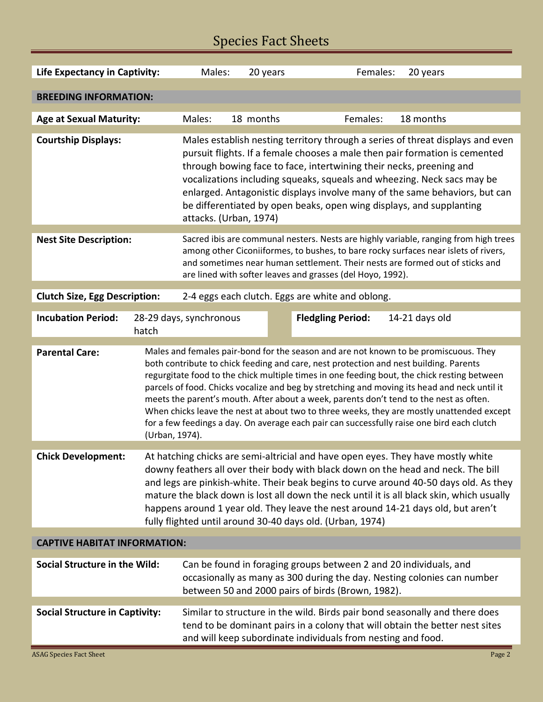## Species Fact Sheets

| <b>Life Expectancy in Captivity:</b>                                                                                                                                                                                                                                                                                                                                                                                                                                                                                                      |                                                                                                                                                                                                                                                                                                                                                                                                                                                                                                                                                                                                                                                                                     | Males:                                                                                                                                                                                                                                                                                                                                                                                                                                                                                           | 20 years  | Females:                 | 20 years       |        |  |  |
|-------------------------------------------------------------------------------------------------------------------------------------------------------------------------------------------------------------------------------------------------------------------------------------------------------------------------------------------------------------------------------------------------------------------------------------------------------------------------------------------------------------------------------------------|-------------------------------------------------------------------------------------------------------------------------------------------------------------------------------------------------------------------------------------------------------------------------------------------------------------------------------------------------------------------------------------------------------------------------------------------------------------------------------------------------------------------------------------------------------------------------------------------------------------------------------------------------------------------------------------|--------------------------------------------------------------------------------------------------------------------------------------------------------------------------------------------------------------------------------------------------------------------------------------------------------------------------------------------------------------------------------------------------------------------------------------------------------------------------------------------------|-----------|--------------------------|----------------|--------|--|--|
|                                                                                                                                                                                                                                                                                                                                                                                                                                                                                                                                           |                                                                                                                                                                                                                                                                                                                                                                                                                                                                                                                                                                                                                                                                                     |                                                                                                                                                                                                                                                                                                                                                                                                                                                                                                  |           |                          |                |        |  |  |
| <b>BREEDING INFORMATION:</b>                                                                                                                                                                                                                                                                                                                                                                                                                                                                                                              |                                                                                                                                                                                                                                                                                                                                                                                                                                                                                                                                                                                                                                                                                     |                                                                                                                                                                                                                                                                                                                                                                                                                                                                                                  |           |                          |                |        |  |  |
| <b>Age at Sexual Maturity:</b>                                                                                                                                                                                                                                                                                                                                                                                                                                                                                                            |                                                                                                                                                                                                                                                                                                                                                                                                                                                                                                                                                                                                                                                                                     | Males:                                                                                                                                                                                                                                                                                                                                                                                                                                                                                           | 18 months | Females:                 | 18 months      |        |  |  |
| <b>Courtship Displays:</b>                                                                                                                                                                                                                                                                                                                                                                                                                                                                                                                |                                                                                                                                                                                                                                                                                                                                                                                                                                                                                                                                                                                                                                                                                     | Males establish nesting territory through a series of threat displays and even<br>pursuit flights. If a female chooses a male then pair formation is cemented<br>through bowing face to face, intertwining their necks, preening and<br>vocalizations including squeaks, squeals and wheezing. Neck sacs may be<br>enlarged. Antagonistic displays involve many of the same behaviors, but can<br>be differentiated by open beaks, open wing displays, and supplanting<br>attacks. (Urban, 1974) |           |                          |                |        |  |  |
| <b>Nest Site Description:</b>                                                                                                                                                                                                                                                                                                                                                                                                                                                                                                             | Sacred ibis are communal nesters. Nests are highly variable, ranging from high trees<br>among other Ciconiiformes, to bushes, to bare rocky surfaces near islets of rivers,<br>and sometimes near human settlement. Their nests are formed out of sticks and<br>are lined with softer leaves and grasses (del Hoyo, 1992).                                                                                                                                                                                                                                                                                                                                                          |                                                                                                                                                                                                                                                                                                                                                                                                                                                                                                  |           |                          |                |        |  |  |
| 2-4 eggs each clutch. Eggs are white and oblong.<br><b>Clutch Size, Egg Description:</b>                                                                                                                                                                                                                                                                                                                                                                                                                                                  |                                                                                                                                                                                                                                                                                                                                                                                                                                                                                                                                                                                                                                                                                     |                                                                                                                                                                                                                                                                                                                                                                                                                                                                                                  |           |                          |                |        |  |  |
| <b>Incubation Period:</b>                                                                                                                                                                                                                                                                                                                                                                                                                                                                                                                 |                                                                                                                                                                                                                                                                                                                                                                                                                                                                                                                                                                                                                                                                                     | 28-29 days, synchronous                                                                                                                                                                                                                                                                                                                                                                                                                                                                          |           | <b>Fledgling Period:</b> | 14-21 days old |        |  |  |
|                                                                                                                                                                                                                                                                                                                                                                                                                                                                                                                                           | hatch                                                                                                                                                                                                                                                                                                                                                                                                                                                                                                                                                                                                                                                                               |                                                                                                                                                                                                                                                                                                                                                                                                                                                                                                  |           |                          |                |        |  |  |
| <b>Parental Care:</b>                                                                                                                                                                                                                                                                                                                                                                                                                                                                                                                     | Males and females pair-bond for the season and are not known to be promiscuous. They<br>both contribute to chick feeding and care, nest protection and nest building. Parents<br>regurgitate food to the chick multiple times in one feeding bout, the chick resting between<br>parcels of food. Chicks vocalize and beg by stretching and moving its head and neck until it<br>meets the parent's mouth. After about a week, parents don't tend to the nest as often.<br>When chicks leave the nest at about two to three weeks, they are mostly unattended except<br>for a few feedings a day. On average each pair can successfully raise one bird each clutch<br>(Urban, 1974). |                                                                                                                                                                                                                                                                                                                                                                                                                                                                                                  |           |                          |                |        |  |  |
| At hatching chicks are semi-altricial and have open eyes. They have mostly white<br><b>Chick Development:</b><br>downy feathers all over their body with black down on the head and neck. The bill<br>and legs are pinkish-white. Their beak begins to curve around 40-50 days old. As they<br>mature the black down is lost all down the neck until it is all black skin, which usually<br>happens around 1 year old. They leave the nest around 14-21 days old, but aren't<br>fully flighted until around 30-40 days old. (Urban, 1974) |                                                                                                                                                                                                                                                                                                                                                                                                                                                                                                                                                                                                                                                                                     |                                                                                                                                                                                                                                                                                                                                                                                                                                                                                                  |           |                          |                |        |  |  |
| <b>CAPTIVE HABITAT INFORMATION:</b>                                                                                                                                                                                                                                                                                                                                                                                                                                                                                                       |                                                                                                                                                                                                                                                                                                                                                                                                                                                                                                                                                                                                                                                                                     |                                                                                                                                                                                                                                                                                                                                                                                                                                                                                                  |           |                          |                |        |  |  |
| <b>Social Structure in the Wild:</b>                                                                                                                                                                                                                                                                                                                                                                                                                                                                                                      |                                                                                                                                                                                                                                                                                                                                                                                                                                                                                                                                                                                                                                                                                     | Can be found in foraging groups between 2 and 20 individuals, and<br>occasionally as many as 300 during the day. Nesting colonies can number<br>between 50 and 2000 pairs of birds (Brown, 1982).                                                                                                                                                                                                                                                                                                |           |                          |                |        |  |  |
| <b>Social Structure in Captivity:</b>                                                                                                                                                                                                                                                                                                                                                                                                                                                                                                     |                                                                                                                                                                                                                                                                                                                                                                                                                                                                                                                                                                                                                                                                                     | Similar to structure in the wild. Birds pair bond seasonally and there does<br>tend to be dominant pairs in a colony that will obtain the better nest sites<br>and will keep subordinate individuals from nesting and food.                                                                                                                                                                                                                                                                      |           |                          |                |        |  |  |
| <b>ASAG Species Fact Sheet</b>                                                                                                                                                                                                                                                                                                                                                                                                                                                                                                            |                                                                                                                                                                                                                                                                                                                                                                                                                                                                                                                                                                                                                                                                                     |                                                                                                                                                                                                                                                                                                                                                                                                                                                                                                  |           |                          |                | Page 2 |  |  |